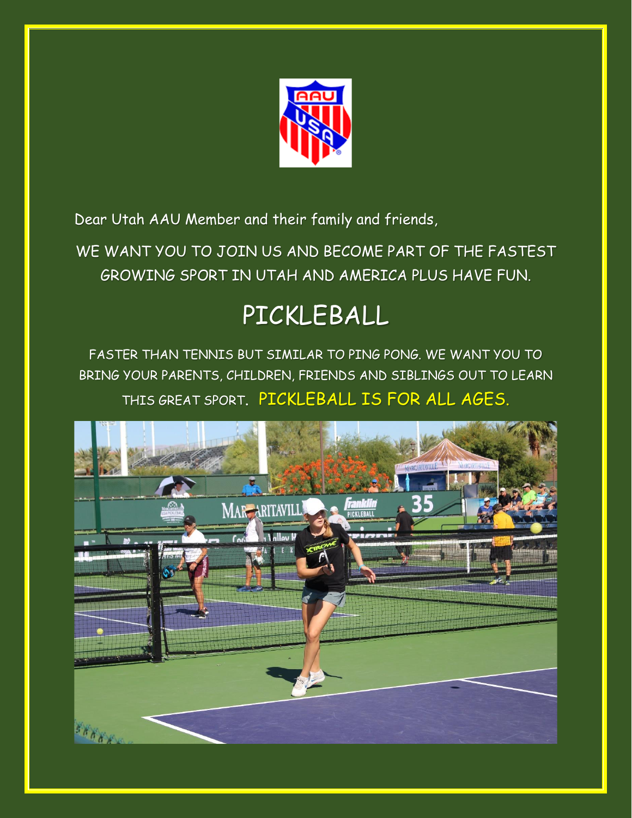

Dear Utah AAU Member and their family and friends,

WE WANT YOU TO JOIN US AND BECOME PART OF THE FASTEST GROWING SPORT IN UTAH AND AMERICA PLUS HAVE FUN.

## PICKLEBALL

FASTER THAN TENNIS BUT SIMILAR TO PING PONG. WE WANT YOU TO BRING YOUR PARENTS, CHILDREN, FRIENDS AND SIBLINGS OUT TO LEARN THIS GREAT SPORT. PICKLEBALL IS FOR ALL AGES.

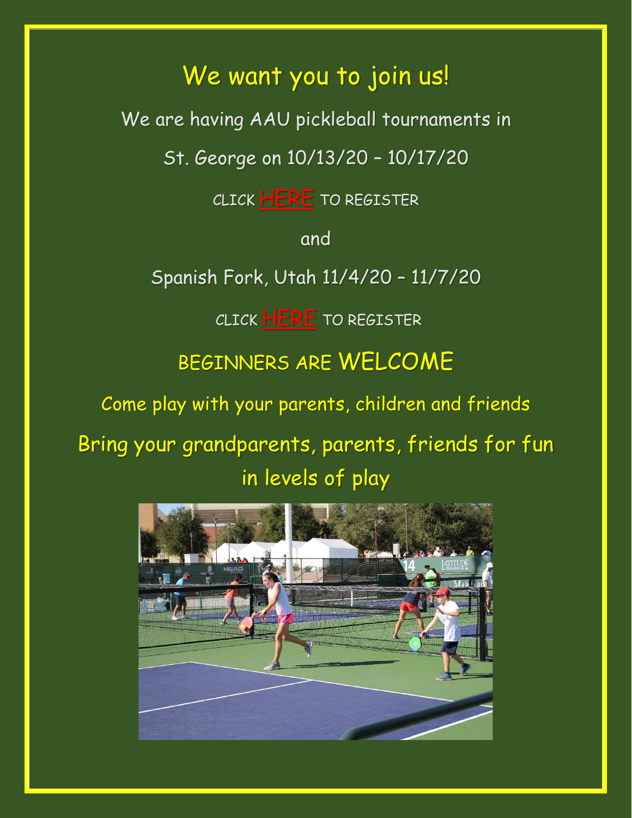## We want you to join us!

We are having AAU pickleball tournaments in

St. George on 10/13/20 – 10/17/20

CLICK [HERE](https://www.pickleballtournaments.com/tournamentinfo.pl?tid=4438#menuInformation) TO REGISTER

and

Spanish Fork, Utah 11/4/20 – 11/7/20

CLICK **[HERE](https://www.pickleballtournaments.com/tournamentinfo.pl?tid=4441#menuInformation)** TO REGISTER

BEGINNERS ARE WELCOME

Come play with your parents, children and friends

Bring your grandparents, parents, friends for fun in levels of play